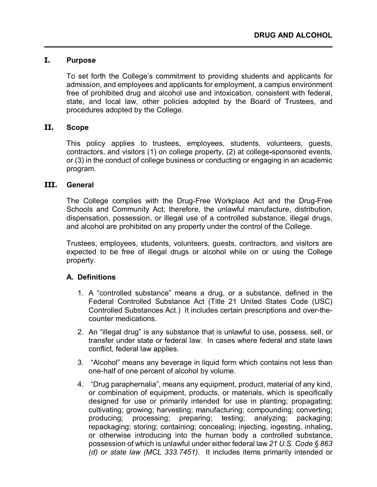#### **I. Purpose**

To set forth the College's commitment to providing students and applicants for admission, and employees and applicants for employment, a campus environment free of prohibited drug and alcohol use and intoxication, consistent with federal, state, and local law, other policies adopted by the Board of Trustees, and procedures adopted by the College.

#### **II. Scope**

This policy applies to trustees, employees, students, volunteers, guests, contractors, and visitors (1) on college property, (2) at college**-**sponsored events, or (3) in the conduct of college business or conducting or engaging in an academic program.

#### **III. General**

The College complies with the Drug-Free Workplace Act and the Drug-Free Schools and Community Act; therefore, the unlawful manufacture, distribution, dispensation, possession, or illegal use of a controlled substance, illegal drugs, and alcohol are prohibited on any property under the control of the College.

Trustees, employees, students, volunteers, guests, contractors, and visitors are expected to be free of illegal drugs or alcohol while on or using the College property.

### **A. Definitions**

- 1. A "controlled substance" means a drug, or a substance, defined in the Federal Controlled Substance Act (Title 21 United States Code (USC) Controlled Substances Act.) It includes certain prescriptions and over-thecounter medications.
- 2. An "illegal drug" is any substance that is unlawful to use, possess, sell, or transfer under state or federal law. In cases where federal and state laws conflict, federal law applies.
- 3. "Alcohol" means any beverage in liquid form which contains not less than one-half of one percent of alcohol by volume.
- 4. "Drug paraphernalia", means any equipment, product, material of any kind, or combination of equipment, products, or materials, which is specifically designed for use or primarily intended for use in planting; propagating; cultivating; growing; harvesting; manufacturing; compounding; converting; producing; processing; preparing; testing; analyzing; packaging; repackaging; storing; containing; concealing; injecting, ingesting, inhaling, or otherwise introducing into the human body a controlled substance, possession of which is unlawful under either federal law *21 U.S. Code § 863 (d) or state law (MCL 333.7451).* It includes items primarily intended or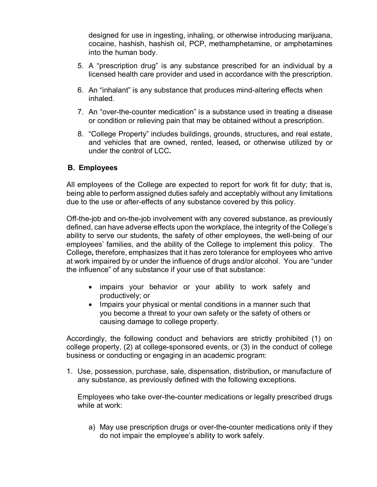designed for use in ingesting, inhaling, or otherwise introducing marijuana, cocaine, hashish, hashish oil, PCP, methamphetamine, or amphetamines into the human body.

- 5. A "prescription drug" is any substance prescribed for an individual by a licensed health care provider and used in accordance with the prescription.
- 6. An "inhalant" is any substance that produces mind-altering effects when inhaled.
- 7. An "over-the-counter medication" is a substance used in treating a disease or condition or relieving pain that may be obtained without a prescription.
- 8. "College Property" includes buildings, grounds, structures**,** and real estate, and vehicles that are owned, rented, leased**,** or otherwise utilized by or under the control of LCC**.**

## **B. Employees**

All employees of the College are expected to report for work fit for duty; that is, being able to perform assigned duties safely and acceptably without any limitations due to the use or after-effects of any substance covered by this policy.

Off-the-job and on-the-job involvement with any covered substance, as previously defined, can have adverse effects upon the workplace, the integrity of the College's ability to serve our students, the safety of other employees, the well-being of our employees' families, and the ability of the College to implement this policy. The College**,** therefore, emphasizes that it has zero tolerance for employees who arrive at work impaired by or under the influence of drugs and/or alcohol. You are "under the influence" of any substance if your use of that substance:

- impairs your behavior or your ability to work safely and productively; or
- Impairs your physical or mental conditions in a manner such that you become a threat to your own safety or the safety of others or causing damage to college property.

Accordingly, the following conduct and behaviors are strictly prohibited (1) on college property, (2) at college-sponsored events, or (3) in the conduct of college business or conducting or engaging in an academic program:

1. Use, possession, purchase, sale, dispensation, distribution**,** or manufacture of any substance, as previously defined with the following exceptions.

Employees who take over-the-counter medications or legally prescribed drugs while at work:

a) May use prescription drugs or over-the-counter medications only if they do not impair the employee's ability to work safely.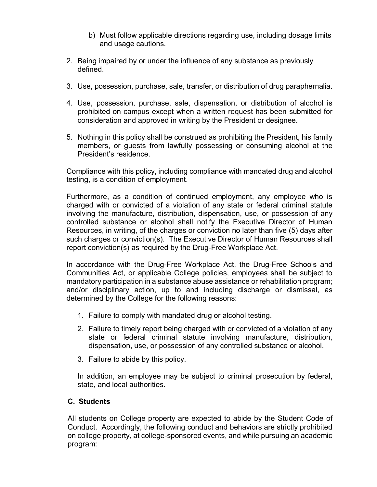- b) Must follow applicable directions regarding use, including dosage limits and usage cautions.
- 2. Being impaired by or under the influence of any substance as previously defined.
- 3. Use, possession, purchase, sale, transfer, or distribution of drug paraphernalia.
- 4. Use, possession, purchase, sale, dispensation, or distribution of alcohol is prohibited on campus except when a written request has been submitted for consideration and approved in writing by the President or designee.
- 5. Nothing in this policy shall be construed as prohibiting the President, his family members, or guests from lawfully possessing or consuming alcohol at the President's residence.

Compliance with this policy, including compliance with mandated drug and alcohol testing, is a condition of employment.

Furthermore, as a condition of continued employment, any employee who is charged with or convicted of a violation of any state or federal criminal statute involving the manufacture, distribution, dispensation, use, or possession of any controlled substance or alcohol shall notify the Executive Director of Human Resources, in writing, of the charges or conviction no later than five (5) days after such charges or conviction(s). The Executive Director of Human Resources shall report conviction(s) as required by the Drug-Free Workplace Act.

In accordance with the Drug-Free Workplace Act, the Drug-Free Schools and Communities Act, or applicable College policies, employees shall be subject to mandatory participation in a substance abuse assistance or rehabilitation program; and/or disciplinary action, up to and including discharge or dismissal, as determined by the College for the following reasons:

- 1. Failure to comply with mandated drug or alcohol testing.
- 2. Failure to timely report being charged with or convicted of a violation of any state or federal criminal statute involving manufacture, distribution, dispensation, use, or possession of any controlled substance or alcohol.
- 3. Failure to abide by this policy.

In addition, an employee may be subject to criminal prosecution by federal, state, and local authorities.

### **C. Students**

All students on College property are expected to abide by the Student Code of Conduct. Accordingly, the following conduct and behaviors are strictly prohibited on college property, at college-sponsored events, and while pursuing an academic program: